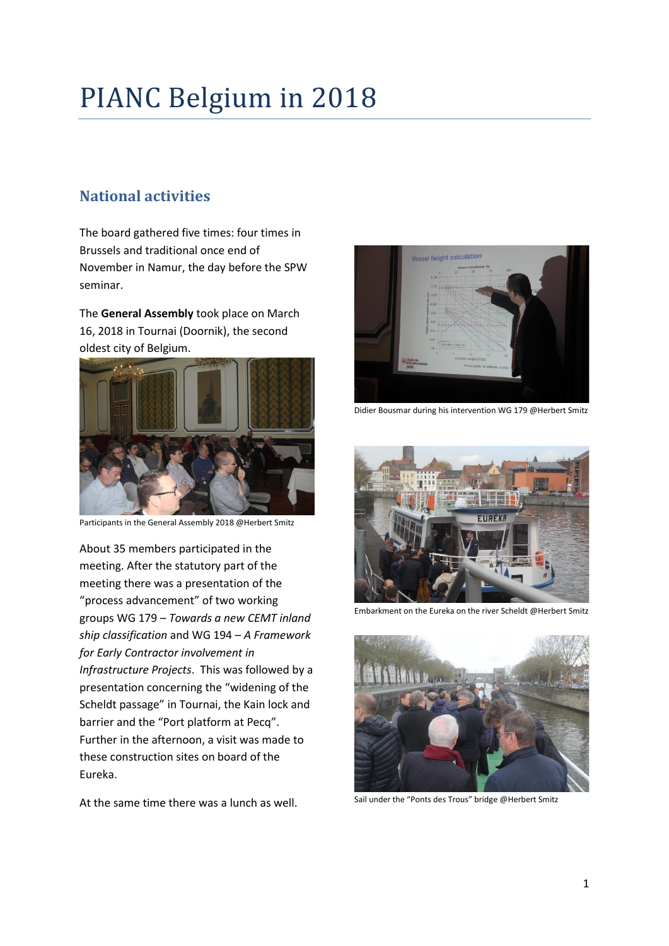# PIANC Belgium in 2018

# **National activities**

The board gathered five times: four times in Brussels and traditional once end of November in Namur, the day before the SPW seminar.

The **General Assembly** took place on March 16, 2018 in Tournai (Doornik), the second oldest city of Belgium.



Participants in the General Assembly 2018 @Herbert Smitz

About 35 members participated in the meeting. After the statutory part of the meeting there was a presentation of the "process advancement" of two working groups WG 179 – *Towards a new CEMT inland ship classification* and WG 194 – *A Framework for Early Contractor involvement in Infrastructure Projects*. This was followed by a presentation concerning the "widening of the Scheldt passage" in Tournai, the Kain lock and barrier and the "Port platform at Pecq". Further in the afternoon, a visit was made to these construction sites on board of the Eureka.

At the same time there was a lunch as well.



Didier Bousmar during his intervention WG 179 @Herbert Smitz



Embarkment on the Eureka on the river Scheldt @Herbert Smitz



Sail under the "Ponts des Trous" bridge @Herbert Smitz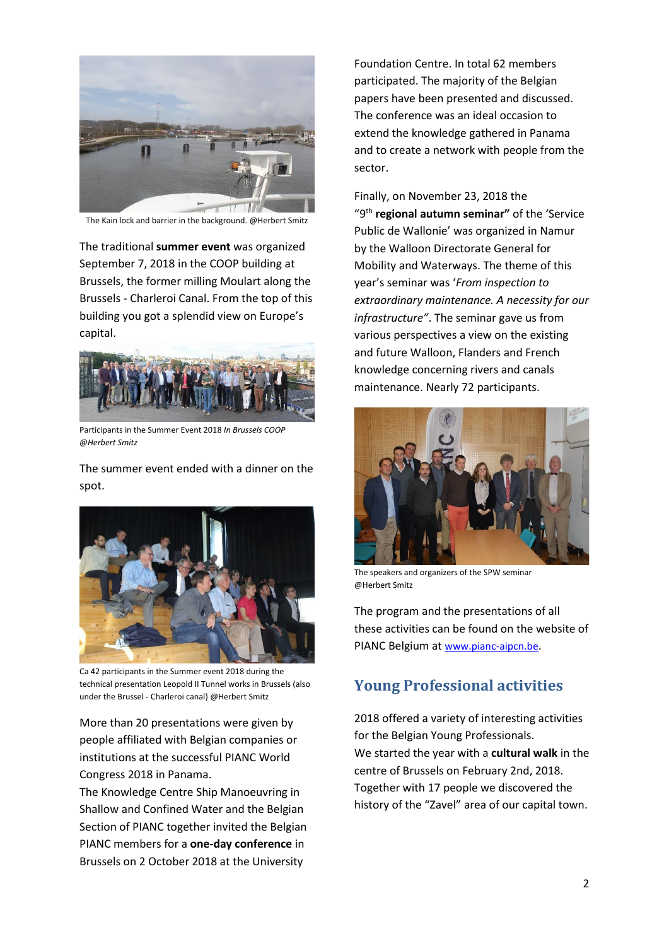

The Kain lock and barrier in the background. @Herbert Smitz

The traditional **summer event** was organized September 7, 2018 in the COOP building at Brussels, the former milling Moulart along the Brussels - Charleroi Canal. From the top of this building you got a splendid view on Europe's capital.



Participants in the Summer Event 2018 *In Brussels COOP @Herbert Smitz*

The summer event ended with a dinner on the spot.



Ca 42 participants in the Summer event 2018 during the technical presentation Leopold II Tunnel works in Brussels (also under the Brussel - Charleroi canal) @Herbert Smitz

More than 20 presentations were given by people affiliated with Belgian companies or institutions at the successful PIANC World Congress 2018 in Panama.

The Knowledge Centre Ship Manoeuvring in Shallow and Confined Water and the Belgian Section of PIANC together invited the Belgian PIANC members for a **one-day conference** in Brussels on 2 October 2018 at the University

Foundation Centre. In total 62 members participated. The majority of the Belgian papers have been presented and discussed. The conference was an ideal occasion to extend the knowledge gathered in Panama and to create a network with people from the sector.

Finally, on November 23, 2018 the "9<sup>th</sup> regional autumn seminar" of the 'Service Public de Wallonie' was organized in Namur by the Walloon Directorate General for Mobility and Waterways. The theme of this year's seminar was '*From inspection to extraordinary maintenance. A necessity for our infrastructure"*. The seminar gave us from various perspectives a view on the existing and future Walloon, Flanders and French knowledge concerning rivers and canals maintenance. Nearly 72 participants.



The speakers and organizers of the SPW seminar @Herbert Smitz

The program and the presentations of all these activities can be found on the website of PIANC Belgium at [www.pianc-aipcn.be](http://www.pianc-aipcn.be/).

### **Young Professional activities**

2018 offered a variety of interesting activities for the Belgian Young Professionals. We started the year with a **cultural walk** in the centre of Brussels on February 2nd, 2018. Together with 17 people we discovered the history of the "Zavel" area of our capital town.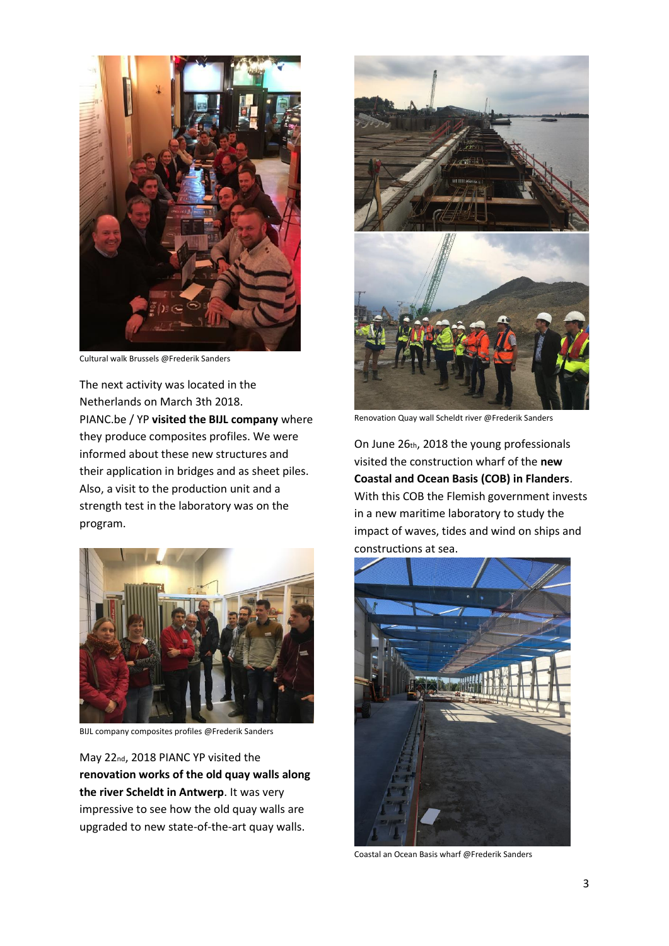

Cultural walk Brussels @Frederik Sanders

The next activity was located in the Netherlands on March 3th 2018. PIANC.be / YP **visited the BIJL company** where they produce composites profiles. We were informed about these new structures and their application in bridges and as sheet piles. Also, a visit to the production unit and a strength test in the laboratory was on the program.



BIJL company composites profiles @Frederik Sanders

May 22nd, 2018 PIANC YP visited the **renovation works of the old quay walls along the river Scheldt in Antwerp**. It was very impressive to see how the old quay walls are upgraded to new state-of-the-art quay walls.



Renovation Quay wall Scheldt river @Frederik Sanders

On June 26th, 2018 the young professionals visited the construction wharf of the **new Coastal and Ocean Basis (COB) in Flanders**. With this COB the Flemish government invests in a new maritime laboratory to study the impact of waves, tides and wind on ships and constructions at sea.



Coastal an Ocean Basis wharf @Frederik Sanders